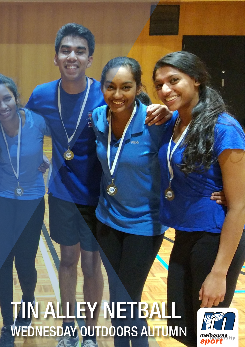# TIN ALLEY NETBALL